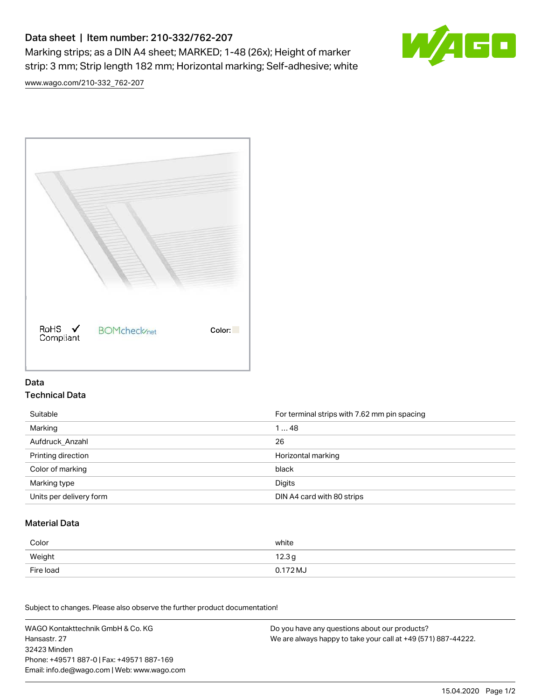# Data sheet | Item number: 210-332/762-207

Marking strips; as a DIN A4 sheet; MARKED; 1-48 (26x); Height of marker strip: 3 mm; Strip length 182 mm; Horizontal marking; Self-adhesive; white



[www.wago.com/210-332\\_762-207](http://www.wago.com/210-332_762-207)



### Data Technical Data

| Suitable                | For terminal strips with 7.62 mm pin spacing |
|-------------------------|----------------------------------------------|
| Marking                 | 148                                          |
| Aufdruck Anzahl         | 26                                           |
| Printing direction      | Horizontal marking                           |
| Color of marking        | black                                        |
| Marking type            | Digits                                       |
| Units per delivery form | DIN A4 card with 80 strips                   |

#### Material Data

| Color     | white                       |
|-----------|-----------------------------|
| Weight    | 12.3 <sub>g</sub>           |
| Fire load | $0.172\,\mathrm{M}_{\odot}$ |

Subject to changes. Please also observe the further product documentation!

WAGO Kontakttechnik GmbH & Co. KG Hansastr. 27 32423 Minden Phone: +49571 887-0 | Fax: +49571 887-169 Email: info.de@wago.com | Web: www.wago.com Do you have any questions about our products? We are always happy to take your call at +49 (571) 887-44222.